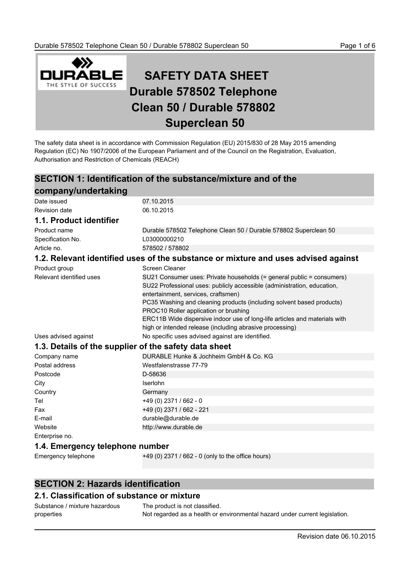

# **SAFETY DATA SHEET Durable 578502 Telephone Clean 50 / Durable 578802 Superclean 50**

The safety data sheet is in accordance with Commission Regulation (EU) 2015/830 of 28 May 2015 amending Regulation (EC) No 1907/2006 of the European Parliament and of the Council on the Registration, Evaluation, Authorisation and Restriction of Chemicals (REACH)

# **SECTION 1: Identification of the substance/mixture and of the**

| company/undertaking                                   |                                                                                                                                                                                                                                                                                                                                                                                         |
|-------------------------------------------------------|-----------------------------------------------------------------------------------------------------------------------------------------------------------------------------------------------------------------------------------------------------------------------------------------------------------------------------------------------------------------------------------------|
| Date issued                                           | 07.10.2015                                                                                                                                                                                                                                                                                                                                                                              |
| <b>Revision date</b>                                  | 06.10.2015                                                                                                                                                                                                                                                                                                                                                                              |
| 1.1. Product identifier                               |                                                                                                                                                                                                                                                                                                                                                                                         |
| Product name                                          | Durable 578502 Telephone Clean 50 / Durable 578802 Superclean 50                                                                                                                                                                                                                                                                                                                        |
| Specification No.                                     | L03000000210                                                                                                                                                                                                                                                                                                                                                                            |
| Article no.                                           | 578502 / 578802                                                                                                                                                                                                                                                                                                                                                                         |
|                                                       | 1.2. Relevant identified uses of the substance or mixture and uses advised against                                                                                                                                                                                                                                                                                                      |
| Product group                                         | Screen Cleaner                                                                                                                                                                                                                                                                                                                                                                          |
| Relevant identified uses                              | SU21 Consumer uses: Private households (= general public = consumers)<br>SU22 Professional uses: publicly accessible (administration, education,<br>entertainment, services, craftsmen)<br>PC35 Washing and cleaning products (including solvent based products)<br>PROC10 Roller application or brushing<br>ERC11B Wide dispersive indoor use of long-life articles and materials with |
|                                                       | high or intended release (including abrasive processing)                                                                                                                                                                                                                                                                                                                                |
| Uses advised against                                  | No specific uses advised against are identified.                                                                                                                                                                                                                                                                                                                                        |
| 1.3. Details of the supplier of the safety data sheet |                                                                                                                                                                                                                                                                                                                                                                                         |
| Company name                                          | DURABLE Hunke & Jochheim GmbH & Co. KG                                                                                                                                                                                                                                                                                                                                                  |
| Postal address                                        | Westfalenstrasse 77-79                                                                                                                                                                                                                                                                                                                                                                  |
| Postcode                                              | D-58636                                                                                                                                                                                                                                                                                                                                                                                 |
| City                                                  | Iserlohn                                                                                                                                                                                                                                                                                                                                                                                |
| Country                                               | Germany                                                                                                                                                                                                                                                                                                                                                                                 |
| Tel                                                   | +49 (0) 2371 / 662 - 0                                                                                                                                                                                                                                                                                                                                                                  |
| Fax                                                   | +49 (0) 2371 / 662 - 221                                                                                                                                                                                                                                                                                                                                                                |
| E-mail                                                | durable@durable.de                                                                                                                                                                                                                                                                                                                                                                      |
| Website                                               | http://www.durable.de                                                                                                                                                                                                                                                                                                                                                                   |
| Enterprise no.                                        |                                                                                                                                                                                                                                                                                                                                                                                         |

### **1.4. Emergency telephone number**

Emergency telephone +49 (0) 2371 / 662 - 0 (only to the office hours)

# **SECTION 2: Hazards identification**

## **2.1. Classification of substance or mixture**

| Substance / mixture hazardous | The product is not classified.                                              |
|-------------------------------|-----------------------------------------------------------------------------|
| properties                    | Not regarded as a health or environmental hazard under current legislation. |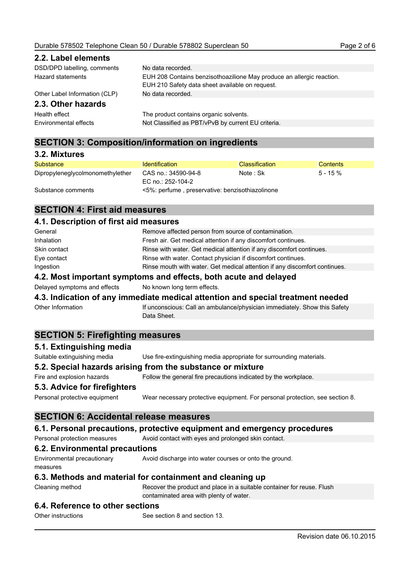| 2.2. Label elements           |                                                                                                                          |
|-------------------------------|--------------------------------------------------------------------------------------------------------------------------|
| DSD/DPD labelling, comments   | No data recorded.                                                                                                        |
| Hazard statements             | EUH 208 Contains benzisothoazilione May produce an allergic reaction.<br>EUH 210 Safety data sheet available on request. |
| Other Label Information (CLP) | No data recorded.                                                                                                        |
| 2.3. Other hazards            |                                                                                                                          |
| Health effect                 | The product contains organic solvents.                                                                                   |
| Environmental effects         | Not Classified as PBT/vPvB by current EU criteria.                                                                       |

# **SECTION 3: Composition/information on ingredients**

| 3.2. Mixtures                    |                                                 |                       |                 |
|----------------------------------|-------------------------------------------------|-----------------------|-----------------|
| Substance                        | <b>Identification</b>                           | <b>Classification</b> | <b>Contents</b> |
| Dipropyleneglycolmonomethylether | CAS no.: 34590-94-8<br>EC no.: 252-104-2        | Note: Sk              | $5 - 15 \%$     |
| Substance comments               | <5%: perfume, preservative: benzisothiazolinone |                       |                 |

# **SECTION 4: First aid measures**

### **4.1. Description of first aid measures**

| Ingestion         | Rinse mouth with water. Get medical attention if any discomfort continues.<br>A.O. Maat been subset acceptance and affaite. In the sambo and delayed |
|-------------------|------------------------------------------------------------------------------------------------------------------------------------------------------|
| Eye contact       | Rinse with water. Contact physician if discomfort continues.                                                                                         |
|                   |                                                                                                                                                      |
| Skin contact      | Rinse with water. Get medical attention if any discomfort continues.                                                                                 |
| <b>Inhalation</b> | Fresh air. Get medical attention if any discomfort continues.                                                                                        |
| General           | Remove affected person from source of contamination.                                                                                                 |

### **4.2. Most important symptoms and effects, both acute and delayed**

Delayed symptoms and effects No known long term effects.

### **4.3. Indication of any immediate medical attention and special treatment needed**

Other Information **If unconscious: Call an ambulance/physician immediately.** Show this Safety Data Sheet.

### **SECTION 5: Firefighting measures**

#### **5.1. Extinguishing media**

Suitable extinguishing media Use fire-extinguishing media appropriate for surrounding materials.

#### **5.2. Special hazards arising from the substance or mixture**

Fire and explosion hazards Follow the general fire precautions indicated by the workplace.

### **5.3. Advice for firefighters**

Personal protective equipment Wear necessary protective equipment. For personal protection, see section 8.

### **SECTION 6: Accidental release measures**

#### **6.1. Personal precautions, protective equipment and emergency procedures**

Personal protection measures Avoid contact with eyes and prolonged skin contact.

### **6.2. Environmental precautions**

Environmental precautionary measures Avoid discharge into water courses or onto the ground.

### **6.3. Methods and material for containment and cleaning up**

Cleaning method Recover the product and place in a suitable container for reuse. Flush contaminated area with plenty of water.

### **6.4. Reference to other sections**

Other instructions See section 8 and section 13.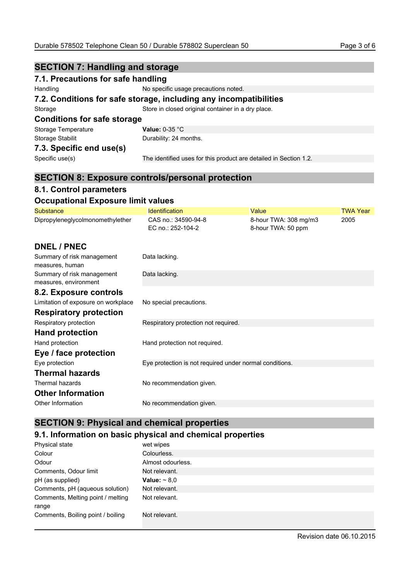| <b>SECTION 7: Handling and storage</b>                            |                                                                   |  |
|-------------------------------------------------------------------|-------------------------------------------------------------------|--|
| 7.1. Precautions for safe handling                                |                                                                   |  |
| Handling                                                          | No specific usage precautions noted.                              |  |
| 7.2. Conditions for safe storage, including any incompatibilities |                                                                   |  |
| Storage                                                           | Store in closed original container in a dry place.                |  |
| <b>Conditions for safe storage</b>                                |                                                                   |  |
| Storage Temperature                                               | Value: $0-35$ °C                                                  |  |
| Storage Stabilit                                                  | Durability: 24 months.                                            |  |
| 7.3. Specific end use(s)                                          |                                                                   |  |
| Specific use(s)                                                   | The identified uses for this product are detailed in Section 1.2. |  |
|                                                                   |                                                                   |  |

# **SECTION 8: Exposure controls/personal protection**

# **8.1. Control parameters**

# **Occupational Exposure limit values**

| <b>Substance</b>                                    | <b>Identification</b>                                   | Value                                       | <b>TWA Year</b> |
|-----------------------------------------------------|---------------------------------------------------------|---------------------------------------------|-----------------|
| Dipropyleneglycolmonomethylether                    | CAS no.: 34590-94-8<br>EC no.: 252-104-2                | 8-hour TWA: 308 mg/m3<br>8-hour TWA: 50 ppm | 2005            |
| <b>DNEL / PNEC</b>                                  |                                                         |                                             |                 |
| Summary of risk management<br>measures, human       | Data lacking.                                           |                                             |                 |
| Summary of risk management<br>measures, environment | Data lacking.                                           |                                             |                 |
| 8.2. Exposure controls                              |                                                         |                                             |                 |
| Limitation of exposure on workplace                 | No special precautions.                                 |                                             |                 |
| <b>Respiratory protection</b>                       |                                                         |                                             |                 |
| Respiratory protection                              | Respiratory protection not required.                    |                                             |                 |
| <b>Hand protection</b>                              |                                                         |                                             |                 |
| Hand protection                                     | Hand protection not required.                           |                                             |                 |
| Eye / face protection                               |                                                         |                                             |                 |
| Eye protection                                      | Eye protection is not required under normal conditions. |                                             |                 |
| <b>Thermal hazards</b>                              |                                                         |                                             |                 |
| Thermal hazards                                     | No recommendation given.                                |                                             |                 |
| <b>Other Information</b>                            |                                                         |                                             |                 |
| Other Information                                   | No recommendation given.                                |                                             |                 |

# **SECTION 9: Physical and chemical properties**

# **9.1. Information on basic physical and chemical properties**

| Physical state                             | wet wipes         |
|--------------------------------------------|-------------------|
| Colour                                     | Colourless.       |
| Odour                                      | Almost odourless. |
| Comments, Odour limit                      | Not relevant.     |
| pH (as supplied)                           | Value: $\sim 8.0$ |
| Comments, pH (aqueous solution)            | Not relevant.     |
| Comments, Melting point / melting<br>range | Not relevant.     |
| Comments, Boiling point / boiling          | Not relevant.     |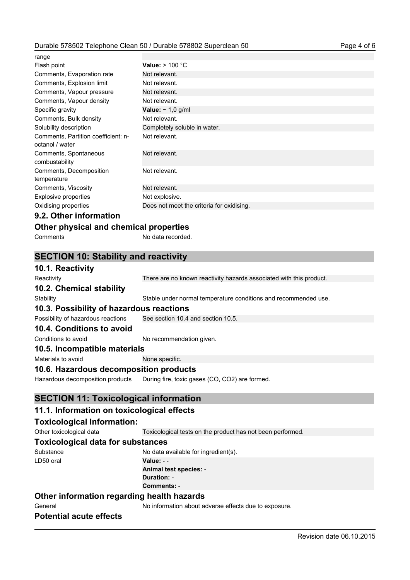| range                                                  |                                           |
|--------------------------------------------------------|-------------------------------------------|
| Flash point                                            | Value: $> 100 °C$                         |
| Comments, Evaporation rate                             | Not relevant.                             |
| Comments, Explosion limit                              | Not relevant.                             |
| Comments, Vapour pressure                              | Not relevant.                             |
| Comments, Vapour density                               | Not relevant.                             |
| Specific gravity                                       | Value: $\sim$ 1,0 g/ml                    |
| Comments, Bulk density                                 | Not relevant.                             |
| Solubility description                                 | Completely soluble in water.              |
| Comments, Partition coefficient: n-<br>octanol / water | Not relevant.                             |
| Comments, Spontaneous<br>combustability                | Not relevant.                             |
| Comments, Decomposition<br>temperature                 | Not relevant.                             |
| Comments, Viscosity                                    | Not relevant.                             |
| <b>Explosive properties</b>                            | Not explosive.                            |
| Oxidising properties                                   | Does not meet the criteria for oxidising. |
|                                                        |                                           |

### **9.2. Other information**

| Other physical and chemical properties |  |  |  |
|----------------------------------------|--|--|--|
|----------------------------------------|--|--|--|

| Comments | No data recorded. |
|----------|-------------------|
|          |                   |

# **SECTION 10: Stability and reactivity**

| 10.1. Reactivity                             |                                                                     |
|----------------------------------------------|---------------------------------------------------------------------|
| Reactivity                                   | There are no known reactivity hazards associated with this product. |
| 10.2. Chemical stability                     |                                                                     |
| Stability                                    | Stable under normal temperature conditions and recommended use.     |
| 10.3. Possibility of hazardous reactions     |                                                                     |
| Possibility of hazardous reactions           | See section 10.4 and section 10.5.                                  |
| 10.4. Conditions to avoid                    |                                                                     |
| Conditions to avoid                          | No recommendation given.                                            |
| 10.5. Incompatible materials                 |                                                                     |
| Materials to avoid                           | None specific.                                                      |
| 10.6. Hazardous decomposition products       |                                                                     |
| Hazardous decomposition products             | During fire, toxic gases (CO, CO2) are formed.                      |
| <b>SECTION 11: Toxicological information</b> |                                                                     |
| 11.1. Information on toxicological effects   |                                                                     |
| <b>Toxicological Information:</b>            |                                                                     |
| Other toxicological data                     | Toxicological tests on the product has not been performed.          |
| <b>Toxicological data for substances</b>     |                                                                     |
| Substance                                    | No data available for ingredient(s).                                |
| LD50 oral                                    | Value: - -                                                          |

**Animal test species:** - **Duration:** -

**Comments:** -

# **Other information regarding health hazards**

General General No information about adverse effects due to exposure.

# **Potential acute effects**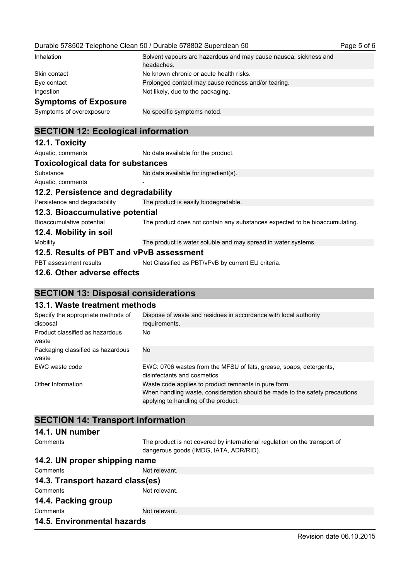| Inhalation                  | Solvent vapours are hazardous and may cause nausea, sickness and<br>headaches. |
|-----------------------------|--------------------------------------------------------------------------------|
| Skin contact                | No known chronic or acute health risks.                                        |
| Eye contact                 | Prolonged contact may cause redness and/or tearing.                            |
| Ingestion                   | Not likely, due to the packaging.                                              |
| <b>Symptoms of Exposure</b> |                                                                                |
| Symptoms of overexposure    | No specific symptoms noted.                                                    |

# **SECTION 12: Ecological information**

| <b>JLUTTUR IZ. LUULUGIUAI IIIIUIIIIALIUII</b> |                                                                             |  |
|-----------------------------------------------|-----------------------------------------------------------------------------|--|
| 12.1. Toxicity                                |                                                                             |  |
| Aquatic, comments                             | No data available for the product.                                          |  |
| <b>Toxicological data for substances</b>      |                                                                             |  |
| Substance                                     | No data available for ingredient(s).                                        |  |
| Aquatic, comments                             |                                                                             |  |
| 12.2. Persistence and degradability           |                                                                             |  |
| Persistence and degradability                 | The product is easily biodegradable.                                        |  |
| 12.3. Bioaccumulative potential               |                                                                             |  |
| Bioaccumulative potential                     | The product does not contain any substances expected to be bioaccumulating. |  |
| 12.4. Mobility in soil                        |                                                                             |  |
| Mobility                                      | The product is water soluble and may spread in water systems.               |  |
| 12.5. Results of PBT and vPvB assessment      |                                                                             |  |
| PBT assessment results                        | Not Classified as PBT/vPvB by current EU criteria.                          |  |
| 12.6. Other adverse effects                   |                                                                             |  |

# **SECTION 13: Disposal considerations**

# **13.1. Waste treatment methods**

| Specify the appropriate methods of<br>disposal | Dispose of waste and residues in accordance with local authority<br>requirements.                                                                                           |
|------------------------------------------------|-----------------------------------------------------------------------------------------------------------------------------------------------------------------------------|
| Product classified as hazardous<br>waste       | No.                                                                                                                                                                         |
| Packaging classified as hazardous<br>waste     | No                                                                                                                                                                          |
| EWC waste code                                 | EWC: 0706 wastes from the MFSU of fats, grease, soaps, detergents,<br>disinfectants and cosmetics                                                                           |
| Other Information                              | Waste code applies to product remnants in pure form.<br>When handling waste, consideration should be made to the safety precautions<br>applying to handling of the product. |

# **SECTION 14: Transport information**

### **14.1. UN number**

| Comments                           | The product is not covered by international regulation on the transport of<br>dangerous goods (IMDG, IATA, ADR/RID). |  |
|------------------------------------|----------------------------------------------------------------------------------------------------------------------|--|
| 14.2. UN proper shipping name      |                                                                                                                      |  |
| Comments                           | Not relevant.                                                                                                        |  |
| 14.3. Transport hazard class(es)   |                                                                                                                      |  |
| Comments                           | Not relevant.                                                                                                        |  |
| 14.4. Packing group                |                                                                                                                      |  |
| Comments                           | Not relevant.                                                                                                        |  |
| <b>14.5. Environmental hazards</b> |                                                                                                                      |  |